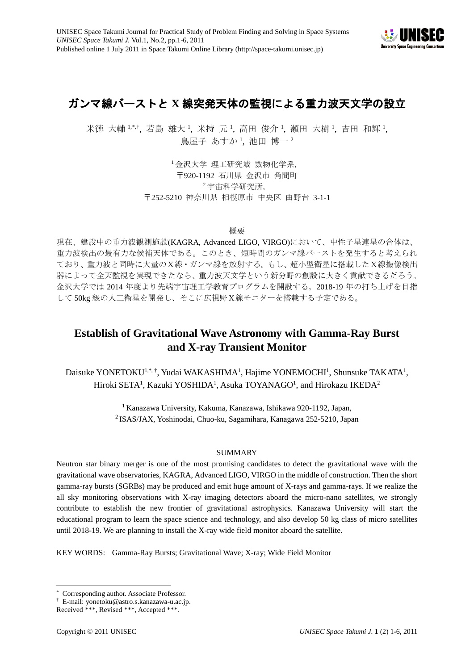

# ガンマ線バーストと **X** 線突発天体の監視による重力波天文学の設立

米徳 大輔 1,[\\*,](#page-0-2)\*, 若島 雄大 ', 米持 元 ', 高田 俊介 ', 瀬田 大樹 ', 吉田 和輝 ', 鳥屋子 あすか !, 池田 博一 2

> <span id="page-0-1"></span><span id="page-0-0"></span><sup>1</sup> 金沢大学 理工研究域 数物化学系, 〒920-1192 石川県 金沢市 角間町 <sup>2</sup> 宇宙科学研究所, 〒252-5210 神奈川県 相模原市 中央区 由野台 3-1-1

> > 概要

現在、建設中の重力波観測施設(KAGRA, Advanced LIGO, VIRGO)において、中性子星連星の合体は、 重力波検出の最有力な候補天体である。このとき、短時間のガンマ線バーストを発生すると考えられ ており、重力波と同時に大量のX線・ガンマ線を放射する。もし、超小型衛星に搭載したX線撮像検出 器によって全天監視を実現できたなら、重力波天文学という新分野の創設に大きく貢献できるだろう。 金沢大学では 2014 年度より先端宇宙理工学教育プログラムを開設する。2018-19 年の打ち上げを目指 して 50kg 級の人工衛星を開発し、そこに広視野X線モニターを搭載する予定である。

## **Establish of Gravitational Wave Astronomy with Gamma-Ray Burst and X-ray Transient Monitor**

Daisuke YONETOKU<sup>[1,\\*,](#page-0-0)†</sup>, Yudai WAKASHIMA<sup>1</sup>, Hajime YONEMOCHI<sup>1</sup>, Shunsuke TAKATA<sup>1</sup>, Hiroki SETA<sup>1</sup>, Kazuki YOSHIDA<sup>1</sup>, Asuka TOYANAGO<sup>1</sup>, and Hirokazu IKEDA<sup>2</sup>

> <sup>1</sup> Kanazawa University, Kakuma, Kanazawa, Ishikawa 920-1192, Japan, <sup>2</sup> ISAS/JAX, Yoshinodai, Chuo-ku, Sagamihara, Kanagawa 252-5210, Japan

## SUMMARY

Neutron star binary merger is one of the most promising candidates to detect the gravitational wave with the gravitational wave observatories, KAGRA, Advanced LIGO, VIRGO in the middle of construction. Then the short gamma-ray bursts (SGRBs) may be produced and emit huge amount of X-rays and gamma-rays. If we realize the all sky monitoring observations with X-ray imaging detectors aboard the micro-nano satellites, we strongly contribute to establish the new frontier of gravitational astrophysics. Kanazawa University will start the educational program to learn the space science and technology, and also develop 50 kg class of micro satellites until 2018-19. We are planning to install the X-ray wide field monitor aboard the satellite.

KEY WORDS: Gamma-Ray Bursts; Gravitational Wave; X-ray; Wide Field Monitor

Corresponding author. Associate Professor. -

<span id="page-0-3"></span><span id="page-0-2"></span><sup>†</sup> E-mail: yonetoku@astro.s.kanazawa-u.ac.jp.

Received \*\*\*, Revised \*\*\*, Accepted \*\*\*.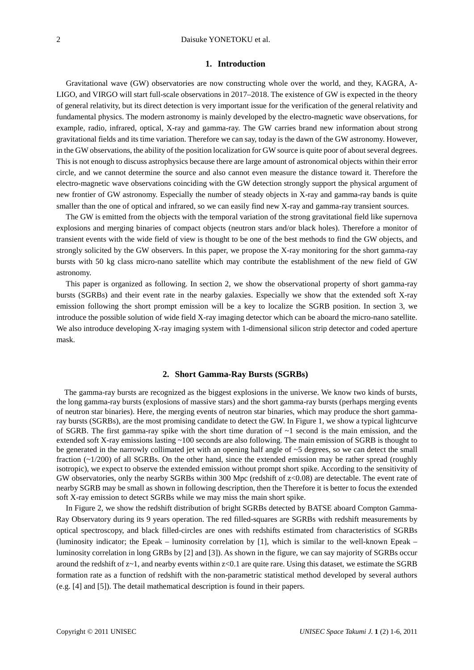## **1. Introduction**

Gravitational wave (GW) observatories are now constructing whole over the world, and they, KAGRA, A-LIGO, and VIRGO will start full-scale observations in 2017–2018. The existence of GW is expected in the theory of general relativity, but its direct detection is very important issue for the verification of the general relativity and fundamental physics. The modern astronomy is mainly developed by the electro-magnetic wave observations, for example, radio, infrared, optical, X-ray and gamma-ray. The GW carries brand new information about strong gravitational fields and its time variation. Therefore we can say, today is the dawn of the GW astronomy. However, in the GW observations, the ability of the position localization for GW source is quite poor of about several degrees. This is not enough to discuss astrophysics because there are large amount of astronomical objects within their error circle, and we cannot determine the source and also cannot even measure the distance toward it. Therefore the electro-magnetic wave observations coinciding with the GW detection strongly support the physical argument of new frontier of GW astronomy. Especially the number of steady objects in X-ray and gamma-ray bands is quite smaller than the one of optical and infrared, so we can easily find new X-ray and gamma-ray transient sources.

The GW is emitted from the objects with the temporal variation of the strong gravitational field like supernova explosions and merging binaries of compact objects (neutron stars and/or black holes). Therefore a monitor of transient events with the wide field of view is thought to be one of the best methods to find the GW objects, and strongly solicited by the GW observers. In this paper, we propose the X-ray monitoring for the short gamma-ray bursts with 50 kg class micro-nano satellite which may contribute the establishment of the new field of GW astronomy.

This paper is organized as following. In section 2, we show the observational property of short gamma-ray bursts (SGRBs) and their event rate in the nearby galaxies. Especially we show that the extended soft X-ray emission following the short prompt emission will be a key to localize the SGRB position. In section 3, we introduce the possible solution of wide field X-ray imaging detector which can be aboard the micro-nano satellite. We also introduce developing X-ray imaging system with 1-dimensional silicon strip detector and coded aperture mask.

#### **2. Short Gamma-Ray Bursts (SGRBs)**

The gamma-ray bursts are recognized as the biggest explosions in the universe. We know two kinds of bursts, the long gamma-ray bursts (explosions of massive stars) and the short gamma-ray bursts (perhaps merging events of neutron star binaries). Here, the merging events of neutron star binaries, which may produce the short gammaray bursts (SGRBs), are the most promising candidate to detect the GW. In Figure 1, we show a typical lightcurve of SGRB. The first gamma-ray spike with the short time duration of  $\sim$ 1 second is the main emission, and the extended soft X-ray emissions lasting ~100 seconds are also following. The main emission of SGRB is thought to be generated in the narrowly collimated jet with an opening half angle of ~5 degrees, so we can detect the small fraction  $(-1/200)$  of all SGRBs. On the other hand, since the extended emission may be rather spread (roughly isotropic), we expect to observe the extended emission without prompt short spike. According to the sensitivity of GW observatories, only the nearby SGRBs within 300 Mpc (redshift of z<0.08) are detectable. The event rate of nearby SGRB may be small as shown in following description, then the Therefore it is better to focus the extended soft X-ray emission to detect SGRBs while we may miss the main short spike.

In Figure 2, we show the redshift distribution of bright SGRBs detected by BATSE aboard Compton Gamma-Ray Observatory during its 9 years operation. The red filled-squares are SGRBs with redshift measurements by optical spectroscopy, and black filled-circles are ones with redshifts estimated from characteristics of SGRBs (luminosity indicator; the Epeak – luminosity correlation by [1], which is similar to the well-known Epeak – luminosity correlation in long GRBs by [2] and [3]). As shown in the figure, we can say majority of SGRBs occur around the redshift of  $z \sim 1$ , and nearby events within  $z \ll 0.1$  are quite rare. Using this dataset, we estimate the SGRB formation rate as a function of redshift with the non-parametric statistical method developed by several authors (e.g. [4] and [5]). The detail mathematical description is found in their papers.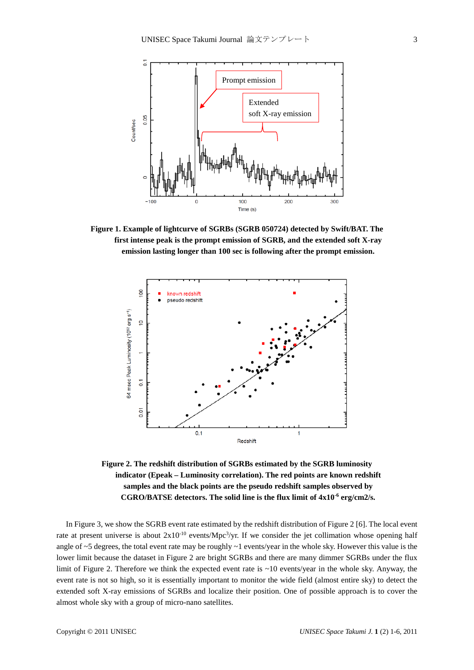

**Figure 1. Example of lightcurve of SGRBs (SGRB 050724) detected by Swift/BAT. The first intense peak is the prompt emission of SGRB, and the extended soft X-ray emission lasting longer than 100 sec is following after the prompt emission.**



**Figure 2. The redshift distribution of SGRBs estimated by the SGRB luminosity indicator (Epeak – Luminosity correlation). The red points are known redshift samples and the black points are the pseudo redshift samples observed by CGRO/BATSE detectors. The solid line is the flux limit of 4x10-6 erg/cm2/s.**

In Figure 3, we show the SGRB event rate estimated by the redshift distribution of Figure 2 [6]. The local event rate at present universe is about  $2x10^{-10}$  events/Mpc<sup>3</sup>/yr. If we consider the jet collimation whose opening half angle of ~5 degrees, the total event rate may be roughly ~1 events/year in the whole sky. However this value is the lower limit because the dataset in Figure 2 are bright SGRBs and there are many dimmer SGRBs under the flux limit of Figure 2. Therefore we think the expected event rate is ~10 events/year in the whole sky. Anyway, the event rate is not so high, so it is essentially important to monitor the wide field (almost entire sky) to detect the extended soft X-ray emissions of SGRBs and localize their position. One of possible approach is to cover the almost whole sky with a group of micro-nano satellites.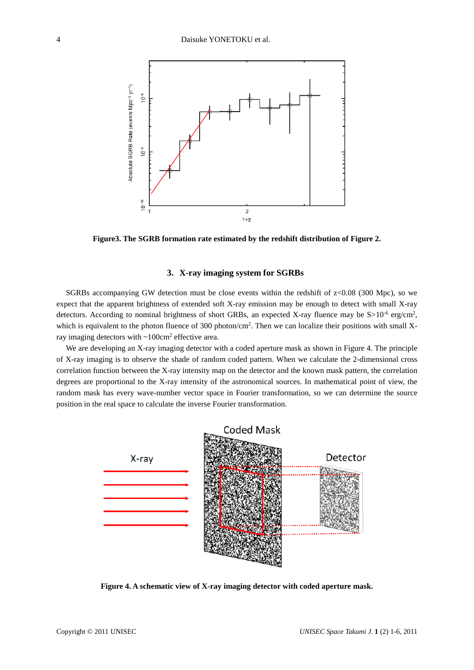

**Figure3. The SGRB formation rate estimated by the redshift distribution of Figure 2.** 

## **3. X-ray imaging system for SGRBs**

SGRBs accompanying GW detection must be close events within the redshift of  $z$ <0.08 (300 Mpc), so we expect that the apparent brightness of extended soft X-ray emission may be enough to detect with small X-ray detectors. According to nominal brightness of short GRBs, an expected X-ray fluence may be S>10<sup>-6</sup> erg/cm<sup>2</sup>, which is equivalent to the photon fluence of 300 photon/cm<sup>2</sup>. Then we can localize their positions with small Xray imaging detectors with ~100cm2 effective area.

We are developing an X-ray imaging detector with a coded aperture mask as shown in Figure 4. The principle of X-ray imaging is to observe the shade of random coded pattern. When we calculate the 2-dimensional cross correlation function between the X-ray intensity map on the detector and the known mask pattern, the correlation degrees are proportional to the X-ray intensity of the astronomical sources. In mathematical point of view, the random mask has every wave-number vector space in Fourier transformation, so we can determine the source position in the real space to calculate the inverse Fourier transformation.



**Figure 4. A schematic view of X-ray imaging detector with coded aperture mask.**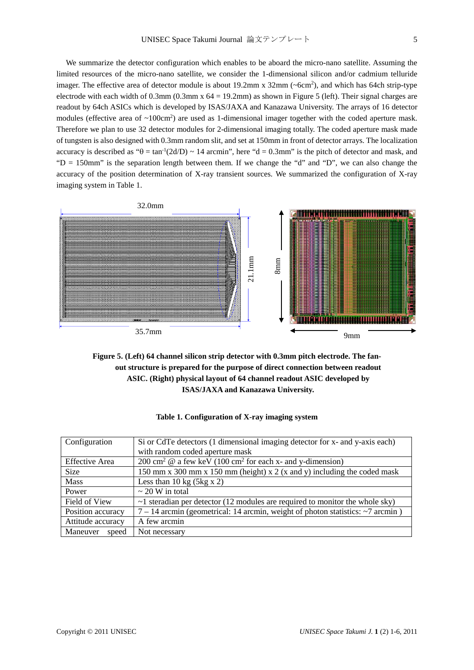We summarize the detector configuration which enables to be aboard the micro-nano satellite. Assuming the limited resources of the micro-nano satellite, we consider the 1-dimensional silicon and/or cadmium telluride imager. The effective area of detector module is about 19.2mm x 32mm (~6cm<sup>2</sup>), and which has 64ch strip-type electrode with each width of 0.3mm (0.3mm x 64 = 19.2mm) as shown in Figure 5 (left). Their signal charges are readout by 64ch ASICs which is developed by ISAS/JAXA and Kanazawa University. The arrays of 16 detector modules (effective area of  $\sim 100 \text{cm}^2$ ) are used as 1-dimensional imager together with the coded aperture mask. Therefore we plan to use 32 detector modules for 2-dimensional imaging totally. The coded aperture mask made of tungsten is also designed with 0.3mm random slit, and set at 150mm in front of detector arrays. The localization accuracy is described as " $\theta = \tan^{-1}(2d/D) \sim 14$  arcmin", here "d = 0.3mm" is the pitch of detector and mask, and " $D = 150$ mm" is the separation length between them. If we change the "d" and "D", we can also change the accuracy of the position determination of X-ray transient sources. We summarized the configuration of X-ray imaging system in Table 1.





| Configuration         | Si or CdTe detectors (1 dimensional imaging detector for x- and y-axis each)           |  |  |  |
|-----------------------|----------------------------------------------------------------------------------------|--|--|--|
|                       | with random coded aperture mask                                                        |  |  |  |
| <b>Effective Area</b> | $200 \text{ cm}^2$ @ a few keV (100 cm <sup>2</sup> for each x- and y-dimension)       |  |  |  |
| Size                  | 150 mm x 300 mm x 150 mm (height) x 2 (x and y) including the coded mask               |  |  |  |
| <b>Mass</b>           | Less than 10 kg $(5kg \times 2)$                                                       |  |  |  |
| Power                 | $\sim$ 20 W in total                                                                   |  |  |  |
| Field of View         | $\sim$ 1 steradian per detector (12 modules are required to monitor the whole sky)     |  |  |  |
| Position accuracy     | $7 - 14$ arcmin (geometrical: 14 arcmin, weight of photon statistics: $\sim$ 7 arcmin) |  |  |  |
| Attitude accuracy     | A few arcmin                                                                           |  |  |  |
| Maneuver<br>speed     | Not necessary                                                                          |  |  |  |

| Table 1. Configuration of X-ray imaging system |  |  |
|------------------------------------------------|--|--|
|                                                |  |  |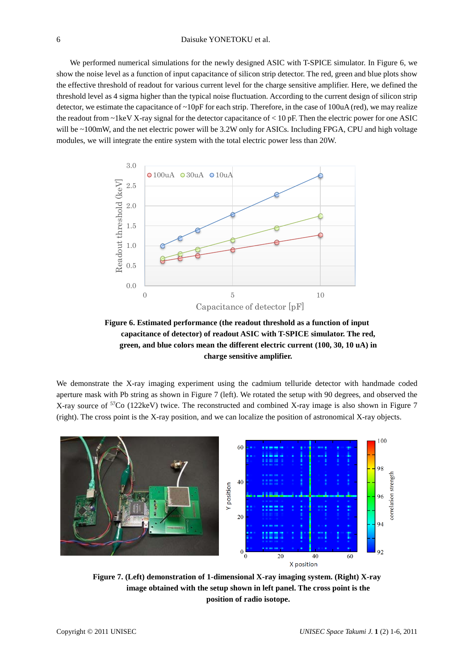We performed numerical simulations for the newly designed ASIC with T-SPICE simulator. In Figure 6, we show the noise level as a function of input capacitance of silicon strip detector. The red, green and blue plots show the effective threshold of readout for various current level for the charge sensitive amplifier. Here, we defined the threshold level as 4 sigma higher than the typical noise fluctuation. According to the current design of silicon strip detector, we estimate the capacitance of  $\sim 10pF$  for each strip. Therefore, in the case of 100uA (red), we may realize the readout from  $\sim$ 1keV X-ray signal for the detector capacitance of  $<$  10 pF. Then the electric power for one ASIC will be ~100mW, and the net electric power will be 3.2W only for ASICs. Including FPGA, CPU and high voltage modules, we will integrate the entire system with the total electric power less than 20W.



**Figure 6. Estimated performance (the readout threshold as a function of input capacitance of detector) of readout ASIC with T-SPICE simulator. The red, green, and blue colors mean the different electric current (100, 30, 10 uA) in charge sensitive amplifier.**

We demonstrate the X-ray imaging experiment using the cadmium telluride detector with handmade coded aperture mask with Pb string as shown in Figure 7 (left). We rotated the setup with 90 degrees, and observed the X-ray source of 57Co (122keV) twice. The reconstructed and combined X-ray image is also shown in Figure 7 (right). The cross point is the X-ray position, and we can localize the position of astronomical X-ray objects.



**Figure 7. (Left) demonstration of 1-dimensional X-ray imaging system. (Right) X-ray image obtained with the setup shown in left panel. The cross point is the position of radio isotope.**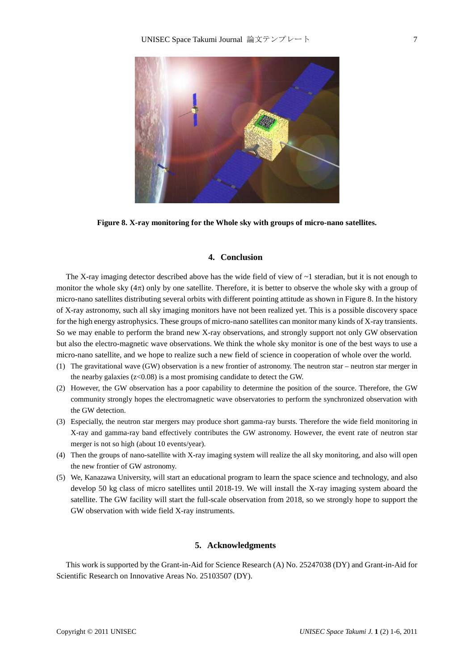

**Figure 8. X-ray monitoring for the Whole sky with groups of micro-nano satellites.**

## **4. Conclusion**

The X-ray imaging detector described above has the wide field of view of  $\sim$ 1 steradian, but it is not enough to monitor the whole sky  $(4\pi)$  only by one satellite. Therefore, it is better to observe the whole sky with a group of micro-nano satellites distributing several orbits with different pointing attitude as shown in Figure 8. In the history of X-ray astronomy, such all sky imaging monitors have not been realized yet. This is a possible discovery space for the high energy astrophysics. These groups of micro-nano satellites can monitor many kinds of X-ray transients. So we may enable to perform the brand new X-ray observations, and strongly support not only GW observation but also the electro-magnetic wave observations. We think the whole sky monitor is one of the best ways to use a micro-nano satellite, and we hope to realize such a new field of science in cooperation of whole over the world.

- (1) The gravitational wave (GW) observation is a new frontier of astronomy. The neutron star neutron star merger in the nearby galaxies  $(z<0.08)$  is a most promising candidate to detect the GW.
- (2) However, the GW observation has a poor capability to determine the position of the source. Therefore, the GW community strongly hopes the electromagnetic wave observatories to perform the synchronized observation with the GW detection.
- (3) Especially, the neutron star mergers may produce short gamma-ray bursts. Therefore the wide field monitoring in X-ray and gamma-ray band effectively contributes the GW astronomy. However, the event rate of neutron star merger is not so high (about 10 events/year).
- (4) Then the groups of nano-satellite with X-ray imaging system will realize the all sky monitoring, and also will open the new frontier of GW astronomy.
- (5) We, Kanazawa University, will start an educational program to learn the space science and technology, and also develop 50 kg class of micro satellites until 2018-19. We will install the X-ray imaging system aboard the satellite. The GW facility will start the full-scale observation from 2018, so we strongly hope to support the GW observation with wide field X-ray instruments.

## **5. Acknowledgments**

This work is supported by the Grant-in-Aid for Science Research (A) No. 25247038 (DY) and Grant-in-Aid for Scientific Research on Innovative Areas No. 25103507 (DY).